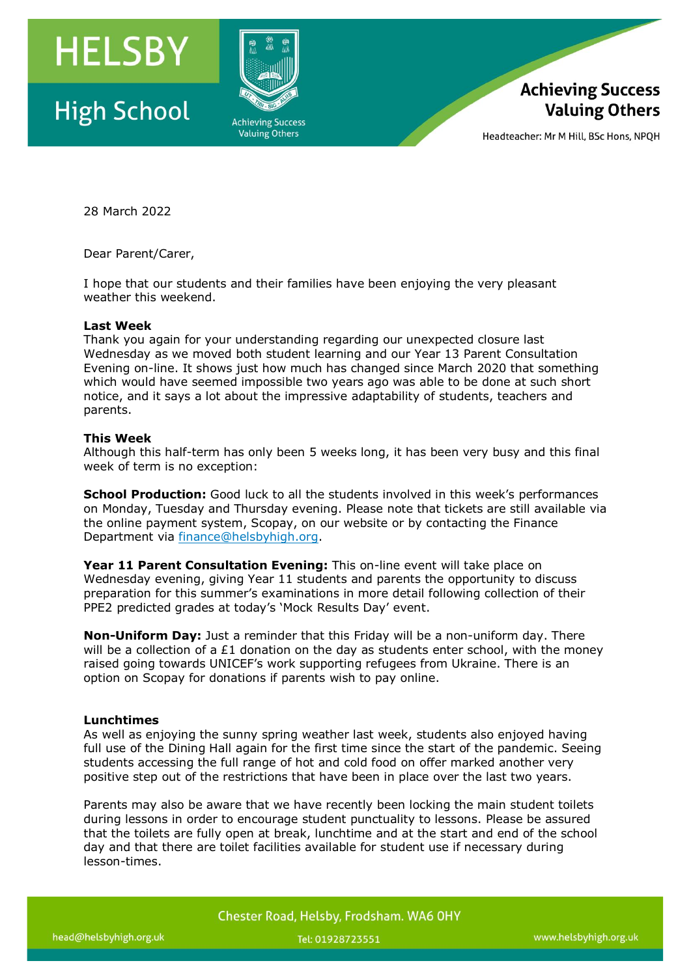

# **High School**





Headteacher: Mr M Hill, BSc Hons, NPOH

28 March 2022

Dear Parent/Carer,

I hope that our students and their families have been enjoying the very pleasant weather this weekend.

## **Last Week**

Thank you again for your understanding regarding our unexpected closure last Wednesday as we moved both student learning and our Year 13 Parent Consultation Evening on-line. It shows just how much has changed since March 2020 that something which would have seemed impossible two years ago was able to be done at such short notice, and it says a lot about the impressive adaptability of students, teachers and parents.

## **This Week**

Although this half-term has only been 5 weeks long, it has been very busy and this final week of term is no exception:

**School Production:** Good luck to all the students involved in this week's performances on Monday, Tuesday and Thursday evening. Please note that tickets are still available via the online payment system, Scopay, on our website or by contacting the Finance Department via [finance@helsbyhigh.org.](mailto:finance@helsbyhigh.org)

**Year 11 Parent Consultation Evening:** This on-line event will take place on Wednesday evening, giving Year 11 students and parents the opportunity to discuss preparation for this summer's examinations in more detail following collection of their PPE2 predicted grades at today's 'Mock Results Day' event.

**Non-Uniform Day:** Just a reminder that this Friday will be a non-uniform day. There will be a collection of a  $E1$  donation on the day as students enter school, with the money raised going towards UNICEF's work supporting refugees from Ukraine. There is an option on Scopay for donations if parents wish to pay online.

## **Lunchtimes**

As well as enjoying the sunny spring weather last week, students also enjoyed having full use of the Dining Hall again for the first time since the start of the pandemic. Seeing students accessing the full range of hot and cold food on offer marked another very positive step out of the restrictions that have been in place over the last two years.

Parents may also be aware that we have recently been locking the main student toilets during lessons in order to encourage student punctuality to lessons. Please be assured that the toilets are fully open at break, lunchtime and at the start and end of the school day and that there are toilet facilities available for student use if necessary during lesson-times.

Chester Road, Helsby, Frodsham. WA6 OHY

Tel: 01928723551